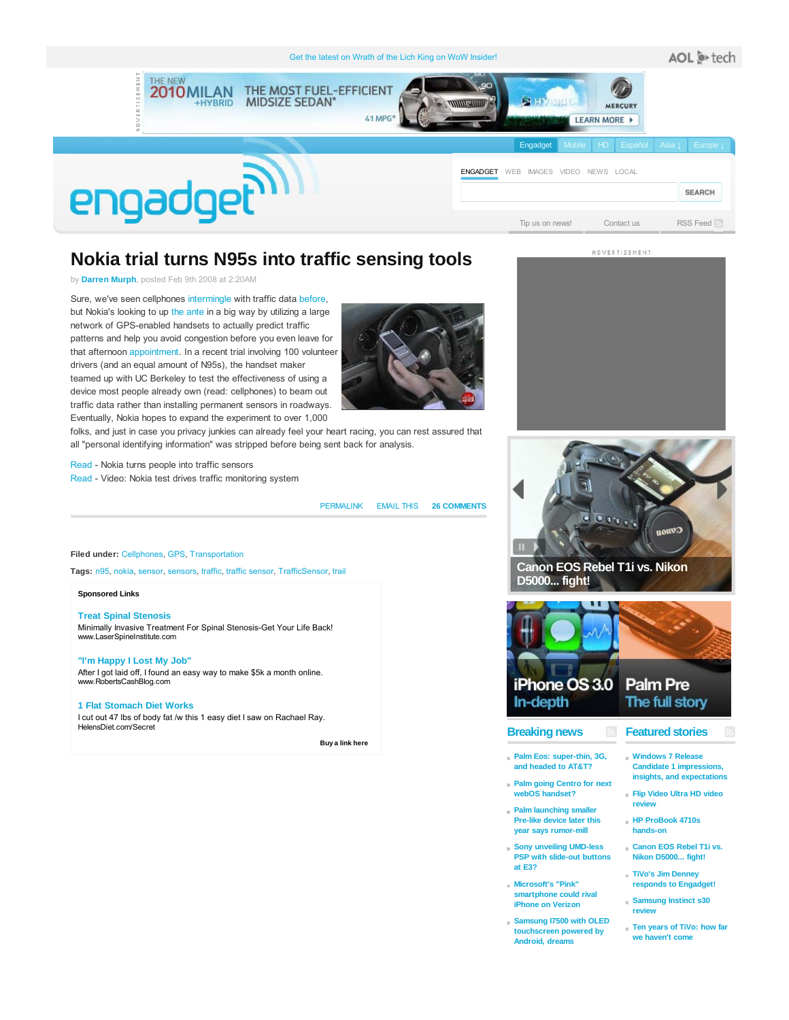

# **Nokia trial turns N95s into traffic sensing tools**

### by **Darren Murph**, posted Feb 9th 2008 at 2:20AM

Sure, we've seen cellphones intermingle with traffic data before, but Nokia's looking to up the ante in a big way by utilizing a large network of GPS-enabled handsets to actually predict traffic patterns and help you avoid congestion before you even leave for that afternoon appointment. In a recent trial involving 100 volunteer drivers (and an equal amount of N95s), the handset maker teamed up with UC Berkeley to test the effectiveness of using a device most people already own (read: cellphones) to beam out traffic data rather than installing permanent sensors in roadways. Eventually, Nokia hopes to expand the experiment to over 1,000

folks, and just in case you privacy junkies can already feel your heart racing, you can rest assured that all "personal identifying information" was stripped before being sent back for analysis.

Read - Nokia turns people into traffic sensors Read - Video: Nokia test drives traffic monitoring system

#### PERMALINK EMAIL THIS **26 COMMENTS**

### **Filed under:** Cellphones, GPS, Transportation

**Tags:** n95, nokia, sensor, sensors, traffic, traffic sensor, TrafficSensor, trail

#### **Sponsored Links**

**Treat Spinal Stenosis** Minimally Invasive Treatment For Spinal Stenosis-Get Your Life Back! www.LaserSpineInstitute.com

### **"I'm Happy I Lost My Job"** After I got laid off, I found an easy way to make \$5k a month online.

www.RobertsCashBlog.com

### **1 Flat Stomach Diet Works**

I cut out 47 lbs of body fat /w this 1 easy diet I saw on Rachael Ray. HelensDiet.com/Secret

 **Buy a link here** 







### **Breaking news**

- **Palm Eos: super-thin, 3G, and headed to AT&T?**
- **Palm going Centro for next webOS handset?**
- **Palm launching smaller Pre-like device later this year says rumor-mill**
- **Sony unveiling UMD-less PSP with slide-out buttons at E3?**
- **Microsoft's "Pink" smartphone could rival iPhone on Verizon**
- **Samsung I7500 with OLED touchscreen powered by Android, dreams**
- **Featured stories**
- **Windows 7 Release Candidate 1 impressions, insights, and expectations**
- **Flip Video Ultra HD video review**
- **HP ProBook 4710s hands-on**
- **Canon EOS Rebel T1i vs. Nikon D5000... fight!**
- **TiVo's Jim Denney responds to Engadget!**
- **Samsung Instinct s30 review**
- **Ten years of TiVo: how far we haven't come**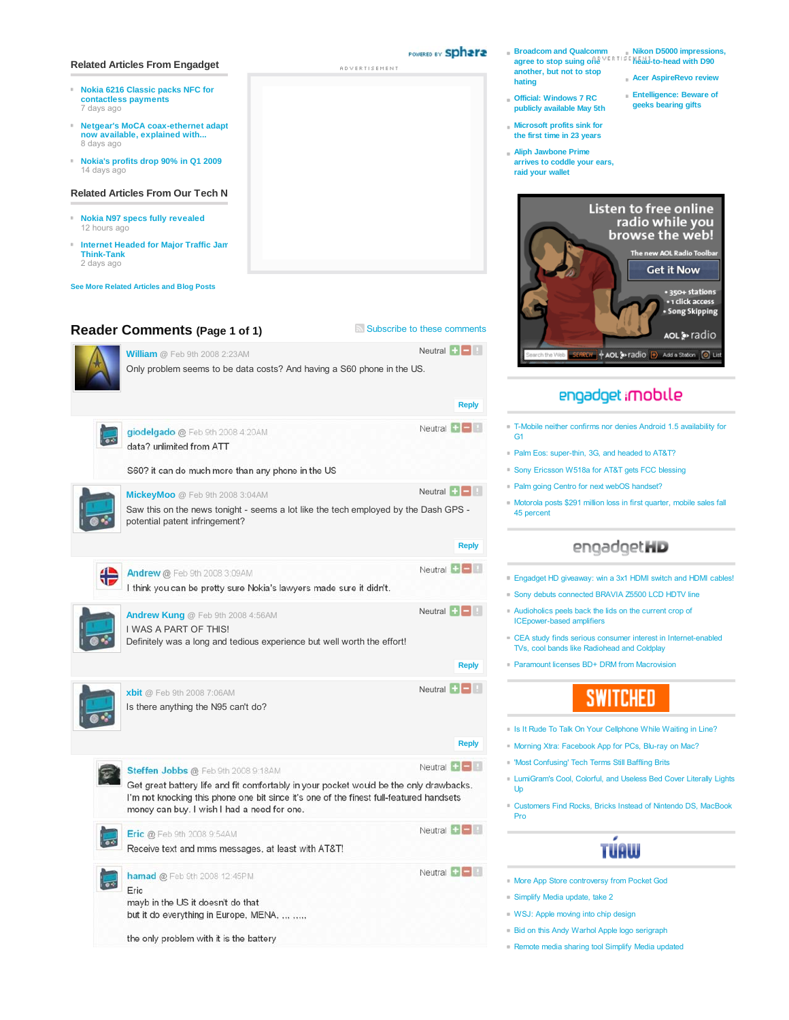### **Related Articles From Engadget**

- **Nokia 6216 Classic packs NFC for** ò. **contactless payments** 7 days ago
- **Netgear's MoCA coax-ethernet adapt now available, explained with...** 8 days ago
- **Nokia's profits drop 90% in Q1 2009** 14 days ago

#### **Related Articles From Our Tech N**

- **Nokia N97 specs fully revealed** 12 hours ago
- **Internet Headed for Major Traffic Jam Think-Tank** 2 days ago

**See More Related Articles and Blog Posts**

Eric

mayb in the US it doesn't do that

the only problem with it is the battery

but it do everything in Europe, MENA, ... .....

# **Reader Comments (Page 1 of 1)** Subscribe to these comments

# Neutral  $\Box$ **William @** Feb 9th 2008 2:23AM Only problem seems to be data costs? And having a S60 phone in the US. **Reply** Neutral **D** giodelgado @ Feb 9th 2008 4:20AM data? unlimited from ATT S60? it can do much more than any phone in the US Neutral  $\Box$ **MickeyMoo @** Feb 9th 2008 3:04AM Saw this on the news tonight - seems a lot like the tech employed by the Dash GPS potential patent infringement? **Reply** Neutral  $\Box$ Andrew @ Feb 9th 2008 3:09AM ₩ I think you can be pretty sure Nokia's lawyers made sure it didn't. Neutral **D Andrew Kung @** Feb 9th 2008 4:56AM I WAS A PART OF THIS! Definitely was a long and tedious experience but well worth the effort! **Reply** Neutral **H**<sub>B</sub> **xbit @** Feb 9th 2008 7:06AM Is there anything the N95 can't do? **Reply** Neutral  $\Box$ Steffen Jobbs @ Feb 9th 2008 9:18AM Get great battery life and fit comfortably in your pocket would be the only drawbacks. I'm not knocking this phone one bit since it's one of the finest full-featured handsets money can buy. I wish I had a need for one. Neutral  $\Box$ Eric @ Feb 9th 2008 9:54AM Receive text and mms messages, at least with AT&T! hamad @ Feb 9th 2008 12:45PM تعدا

Neutral  $\Box$ 

- Simplify Media update, take 2
- WSJ: Apple moving into chip design
- **Bid on this Andy Warhol Apple logo serigraph**
- Remote media sharing tool Simplify Media updated
- **Broadcom and Qualcomm agree to stop suing one Nikon D5000 impressions, head-to-head with D90 another, but not to stop hating Acer AspireRevo review**
	- **Entelligence: Beware of geeks bearing gifts**
- **Official: Windows 7 RC publicly available May 5th**
- **Microsoft profits sink for the first time in 23 years**
- **Aliph Jawbone Prime arrives to coddle your ears, raid your wallet**



# engadget imobile

- T-Mobile neither confirms nor denies Android 1.5 availability for G1
- Palm Eos: super-thin, 3G, and headed to AT&T?
- Sony Ericsson W518a for AT&T gets FCC blessing
- Palm going Centro for next webOS handset?
- Motorola posts \$291 million loss in first quarter, mobile sales fall 45 percent

# engadgetHD

- Engadget HD giveaway: win a 3x1 HDMI switch and HDMI cables!
- Sony debuts connected BRAVIA Z5500 LCD HDTV line
- Audioholics peels back the lids on the current crop of ICEpower-based amplifiers
- CEA study finds serious consumer interest in Internet-enabled TVs, cool bands like Radiohead and Coldplay
- Paramount licenses BD+ DRM from Macrovision

# SWITCHED

- Is It Rude To Talk On Your Cellphone While Waiting in Line?
- Morning Xtra: Facebook App for PCs, Blu-ray on Mac?
- 'Most Confusing' Tech Terms Still Baffling Brits
- LumiGram's Cool, Colorful, and Useless Bed Cover Literally Lights Up
- Customers Find Rocks, Bricks Instead of Nintendo DS, MacBook Pro

# **TÚAW**

- More App Store controversy from Pocket God
- 
- 
- 
- 

POWERED BY Sphara ADVERTISEMENT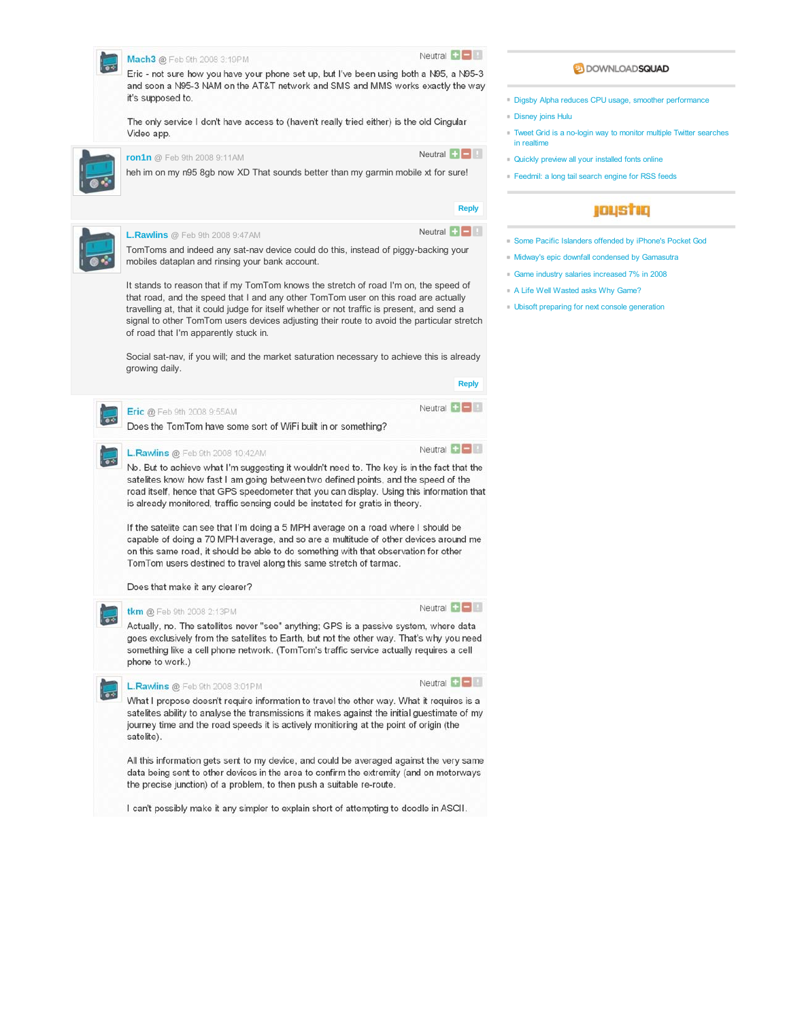

I can't possibly make it any simpler to explain short of attempting to doodle in ASCII.

## **DOWNLOADSQUAD**

Digsby Alpha reduces CPU usage, smoother performance

- **Disney joins Hulu**
- Tweet Grid is a no-login way to monitor multiple Twitter searches in realtime
- Quickly preview all your installed fonts online
- Feedmil: a long tail search engine for RSS feeds

# joustiq

- Some Pacific Islanders offended by iPhone's Pocket God
- Midway's epic downfall condensed by Gama
- Game industry salaries increased 7% in 2008
- A Life Well Wasted asks Why Game?
- Ubisoft preparing for next console generation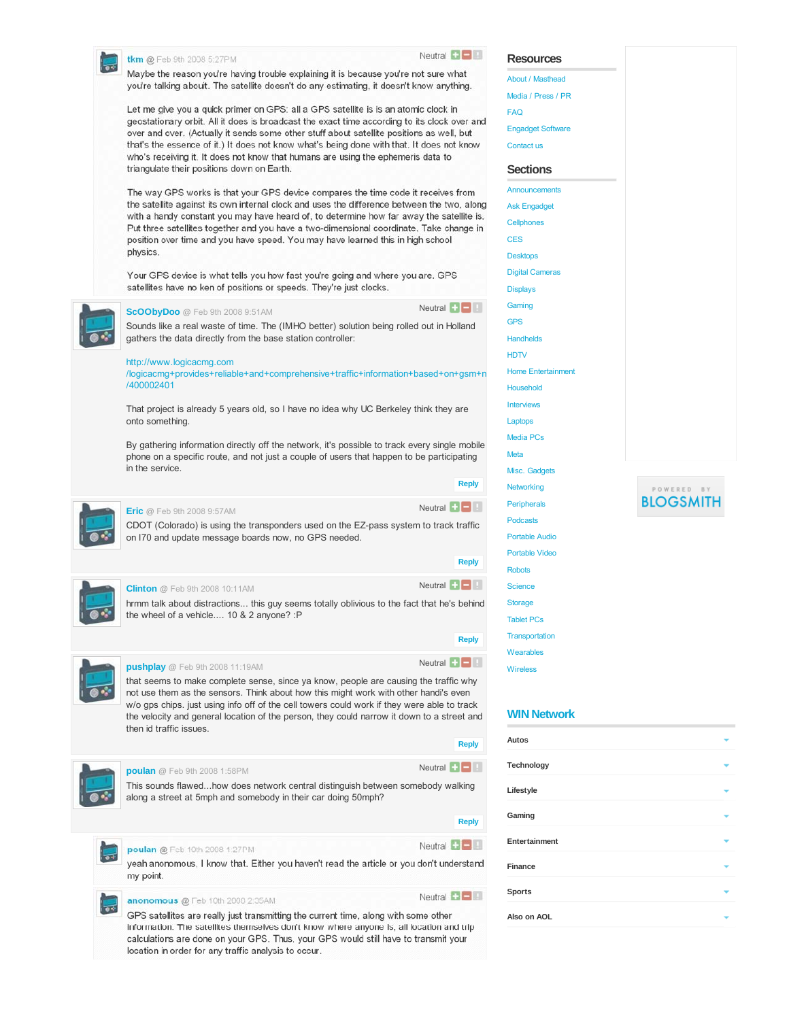|  | <b>tkm @</b> Feb 9th 2008 5:27PM                                                                                                                                                                                                        | Neutral $\Box$                                                    | <b>Resources</b>          |
|--|-----------------------------------------------------------------------------------------------------------------------------------------------------------------------------------------------------------------------------------------|-------------------------------------------------------------------|---------------------------|
|  | Maybe the reason you're having trouble explaining it is because you're not sure what                                                                                                                                                    |                                                                   | About / Masthead          |
|  | you're talking abouit. The satellite doesn't do any estimating, it doesn't know anything.                                                                                                                                               |                                                                   | Media / Press / PR        |
|  | Let me give you a quick primer on GPS: all a GPS satellite is is an atomic clock in                                                                                                                                                     |                                                                   |                           |
|  | geostationary orbit. All it does is broadcast the exact time according to its clock over and                                                                                                                                            | <b>FAQ</b>                                                        |                           |
|  | over and over. (Actually it sends some other stuff about satellite positions as well, but                                                                                                                                               |                                                                   | <b>Engadget Software</b>  |
|  | that's the essence of it.) It does not know what's being done with that. It does not know<br>who's receiving it. It does not know that humans are using the ephemeris data to                                                           |                                                                   | Contact us                |
|  | triangulate their positions down on Earth.                                                                                                                                                                                              |                                                                   | <b>Sections</b>           |
|  | The way GPS works is that your GPS device compares the time code it receives from                                                                                                                                                       |                                                                   | Announcements             |
|  | the satellite against its own internal clock and uses the difference between the two, along<br>with a handy constant you may have heard of, to determine how far away the satellite is.                                                 |                                                                   | <b>Ask Engadget</b>       |
|  | Put three satellites together and you have a two-dimensional coordinate. Take change in                                                                                                                                                 |                                                                   | Cellphones                |
|  | position over time and you have speed. You may have learned this in high school                                                                                                                                                         |                                                                   | <b>CES</b>                |
|  | physics.                                                                                                                                                                                                                                |                                                                   | <b>Desktops</b>           |
|  | Your GPS device is what tells you how fast you're going and where you are. GPS                                                                                                                                                          |                                                                   | <b>Digital Cameras</b>    |
|  | satellites have no ken of positions or speeds. They're just clocks.                                                                                                                                                                     |                                                                   | <b>Displays</b>           |
|  | ScOObyDoo @ Feb 9th 2008 9:51AM                                                                                                                                                                                                         | Neutral $\blacksquare$                                            | Gaming                    |
|  | Sounds like a real waste of time. The (IMHO better) solution being rolled out in Holland                                                                                                                                                |                                                                   | <b>GPS</b>                |
|  | gathers the data directly from the base station controller:                                                                                                                                                                             |                                                                   | <b>Handhelds</b>          |
|  |                                                                                                                                                                                                                                         |                                                                   | <b>HDTV</b>               |
|  | http://www.logicacmg.com<br>/logicacmg+provides+reliable+and+comprehensive+traffic+information+based+on+gsm+n                                                                                                                           |                                                                   | <b>Home Entertainment</b> |
|  | /400002401                                                                                                                                                                                                                              |                                                                   | <b>Household</b>          |
|  |                                                                                                                                                                                                                                         |                                                                   | <b>Interviews</b>         |
|  | That project is already 5 years old, so I have no idea why UC Berkeley think they are<br>onto something.                                                                                                                                |                                                                   | Laptops                   |
|  |                                                                                                                                                                                                                                         |                                                                   | <b>Media PCs</b>          |
|  | By gathering information directly off the network, it's possible to track every single mobile<br>phone on a specific route, and not just a couple of users that happen to be participating                                              |                                                                   | Meta                      |
|  | in the service.                                                                                                                                                                                                                         |                                                                   | Misc. Gadgets             |
|  |                                                                                                                                                                                                                                         | <b>Reply</b>                                                      | Networking                |
|  |                                                                                                                                                                                                                                         | Neutral $\blacksquare$                                            | <b>Peripherals</b>        |
|  | <b>Eric</b> @ Feb 9th 2008 9:57AM                                                                                                                                                                                                       |                                                                   | <b>Podcasts</b>           |
|  | CDOT (Colorado) is using the transponders used on the EZ-pass system to track traffic<br>on I70 and update message boards now, no GPS needed.                                                                                           |                                                                   | <b>Portable Audio</b>     |
|  |                                                                                                                                                                                                                                         |                                                                   | <b>Portable Video</b>     |
|  |                                                                                                                                                                                                                                         | <b>Reply</b>                                                      | <b>Robots</b>             |
|  | <b>Clinton</b> @ Feb 9th 2008 10:11AM                                                                                                                                                                                                   | Neutral $\Box$                                                    | <b>Science</b>            |
|  | hrmm talk about distractions this guy seems totally oblivious to the fact that he's behind                                                                                                                                              |                                                                   | <b>Storage</b>            |
|  | the wheel of a vehicle 10 & 2 anyone? :P                                                                                                                                                                                                |                                                                   | <b>Tablet PCs</b>         |
|  |                                                                                                                                                                                                                                         | <b>Reply</b>                                                      | <b>Transportation</b>     |
|  |                                                                                                                                                                                                                                         |                                                                   | Wearables                 |
|  | pushplay @ Feb 9th 2008 11:19AM                                                                                                                                                                                                         | Neutral $\begin{array}{ c c c c c }\n\hline\n\hline\n\end{array}$ | <b>Wireless</b>           |
|  | that seems to make complete sense, since ya know, people are causing the traffic why                                                                                                                                                    |                                                                   |                           |
|  | not use them as the sensors. Think about how this might work with other handi's even<br>w/o gps chips. just using info off of the cell towers could work if they were able to track                                                     |                                                                   |                           |
|  | the velocity and general location of the person, they could narrow it down to a street and                                                                                                                                              |                                                                   | <b>WIN Network</b>        |
|  | then id traffic issues.                                                                                                                                                                                                                 | <b>Reply</b>                                                      | Autos                     |
|  |                                                                                                                                                                                                                                         |                                                                   |                           |
|  | poulan @ Feb 9th 2008 1:58PM                                                                                                                                                                                                            | Neutral $\blacksquare$                                            | Technology                |
|  | This sounds flawedhow does network central distinguish between somebody walking<br>along a street at 5mph and somebody in their car doing 50mph?                                                                                        |                                                                   | Lifestyle                 |
|  |                                                                                                                                                                                                                                         | <b>Reply</b>                                                      | Gaming                    |
|  | poulan @ Feb 10th 2008 1:27PM                                                                                                                                                                                                           | Neutral $\blacksquare$                                            | Entertainment             |
|  | yeah anonomous, I know that. Either you haven't read the article or you don't understand                                                                                                                                                |                                                                   | <b>Finance</b>            |
|  | my point.                                                                                                                                                                                                                               |                                                                   |                           |
|  | anonomous @ Feb 10th 2008 2:35AM                                                                                                                                                                                                        | Neutral $\left  \cdot \right $                                    | <b>Sports</b>             |
|  | GPS satellites are really just transmitting the current time, along with some other                                                                                                                                                     |                                                                   | Also on AOL               |
|  | information. The satellites themselves don't know where anyone is; all location and trip<br>calculations are done on your GPS. Thus, your GPS would still have to transmit your<br>location in order for any traffic analysis to occur. |                                                                   |                           |

 $\begin{array}{cccccccccc} \mathsf{P} & \mathsf{O} & \mathsf{W} & \mathsf{E} & \mathsf{R} & \mathsf{E} & \mathsf{D} & \mathsf{B} & \mathsf{Y} & \mathsf{I} \end{array}$ **BLOGSMITH** 

v